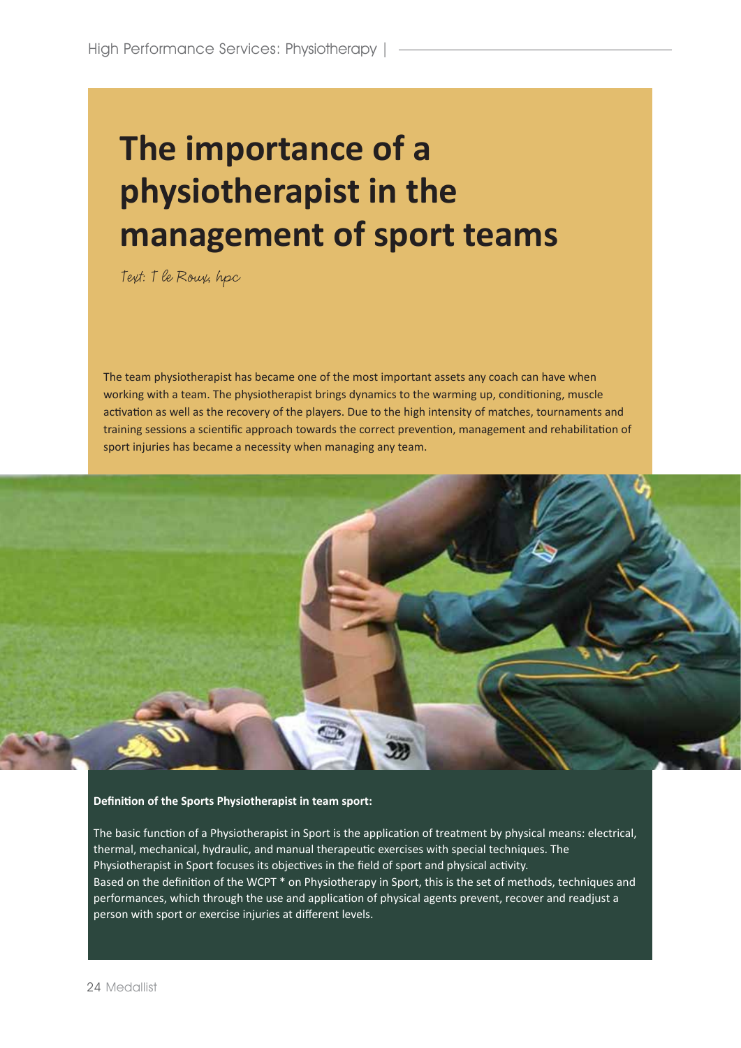# **The importance of a physiotherapist in the management of sport teams**

Text: T le Roux, hpc

The team physiotherapist has became one of the most important assets any coach can have when working with a team. The physiotherapist brings dynamics to the warming up, conditioning, muscle activation as well as the recovery of the players. Due to the high intensity of matches, tournaments and training sessions a scientific approach towards the correct prevention, management and rehabilitation of sport injuries has became a necessity when managing any team.



## **Definition of the Sports Physiotherapist in team sport:**

The basic function of a Physiotherapist in Sport is the application of treatment by physical means: electrical, thermal, mechanical, hydraulic, and manual therapeutic exercises with special techniques. The Physiotherapist in Sport focuses its objectives in the field of sport and physical activity. Based on the definition of the WCPT \* on Physiotherapy in Sport, this is the set of methods, techniques and performances, which through the use and application of physical agents prevent, recover and readjust a person with sport or exercise injuries at different levels.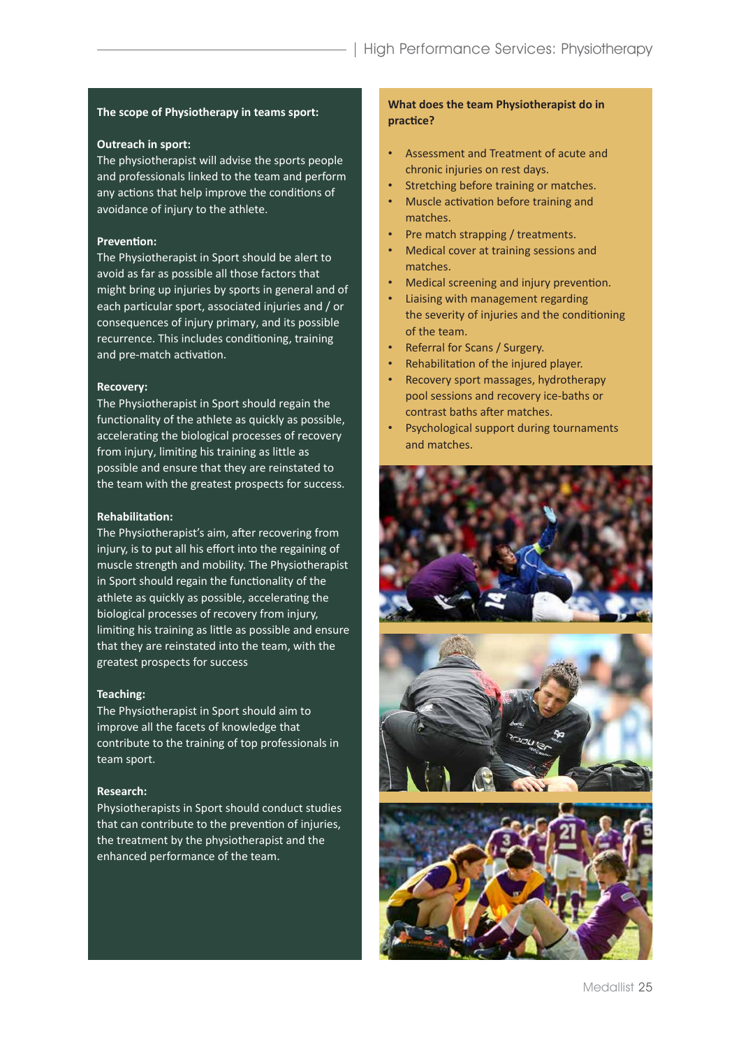#### **The scope of Physiotherapy in teams sport:**

## **Outreach in sport:**

The physiotherapist will advise the sports people and professionals linked to the team and perform any actions that help improve the conditions of avoidance of injury to the athlete.

## **Prevention:**

The Physiotherapist in Sport should be alert to avoid as far as possible all those factors that might bring up injuries by sports in general and of each particular sport, associated injuries and / or consequences of injury primary, and its possible recurrence. This includes conditioning, training and pre-match activation.

## **Recovery:**

The Physiotherapist in Sport should regain the functionality of the athlete as quickly as possible, accelerating the biological processes of recovery from injury, limiting his training as little as possible and ensure that they are reinstated to the team with the greatest prospects for success.

## **Rehabilitation:**

The Physiotherapist's aim, after recovering from injury, is to put all his effort into the regaining of muscle strength and mobility. The Physiotherapist in Sport should regain the functionality of the athlete as quickly as possible, accelerating the biological processes of recovery from injury, limiting his training as little as possible and ensure that they are reinstated into the team, with the greatest prospects for success

#### **Teaching:**

The Physiotherapist in Sport should aim to improve all the facets of knowledge that contribute to the training of top professionals in team sport.

#### **Research:**

Physiotherapists in Sport should conduct studies that can contribute to the prevention of injuries, the treatment by the physiotherapist and the enhanced performance of the team.

# **What does the team Physiotherapist do in practice?**

- Assessment and Treatment of acute and chronic injuries on rest days.
- • Stretching before training or matches.
- • Muscle activation before training and matches.
- Pre match strapping / treatments.
- • Medical cover at training sessions and matches.
- Medical screening and injury prevention.
- • Liaising with management regarding the severity of injuries and the conditioning of the team.
- • Referral for Scans / Surgery.
- Rehabilitation of the injured player.
- • Recovery sport massages, hydrotherapy pool sessions and recovery ice-baths or contrast baths after matches.
- • Psychological support during tournaments and matches.



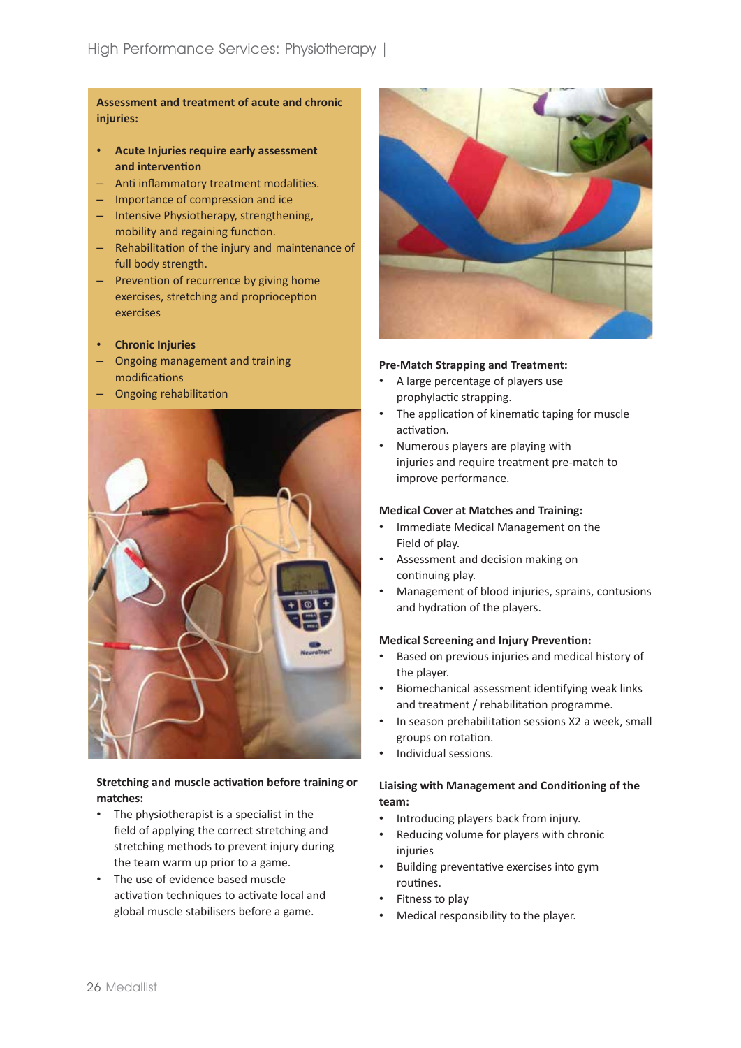**Assessment and treatment of acute and chronic injuries:**

- **Acute Injuries require early assessment and intervention**
- Anti inflammatory treatment modalities.
- – Importance of compression and ice
- – Intensive Physiotherapy, strengthening, mobility and regaining function.
- Rehabilitation of the injury and maintenance of full body strength.
- Prevention of recurrence by giving home exercises, stretching and proprioception exercises
- • **Chronic Injuries**
- – Ongoing management and training modifications
- – Ongoing rehabilitation



# **Stretching and muscle activation before training or matches:**

- The physiotherapist is a specialist in the field of applying the correct stretching and stretching methods to prevent injury during the team warm up prior to a game.
- The use of evidence based muscle activation techniques to activate local and global muscle stabilisers before a game.



# **Pre-Match Strapping and Treatment:**

- A large percentage of players use prophylactic strapping.
- The application of kinematic taping for muscle activation.
- Numerous players are playing with injuries and require treatment pre-match to improve performance.

# **Medical Cover at Matches and Training:**

- • Immediate Medical Management on the Field of play.
- Assessment and decision making on continuing play.
- Management of blood injuries, sprains, contusions and hydration of the players.

## **Medical Screening and Injury Prevention:**

- Based on previous injuries and medical history of the player.
- • Biomechanical assessment identifying weak links and treatment / rehabilitation programme.
- In season prehabilitation sessions X2 a week, small groups on rotation.
- • Individual sessions.

# **Liaising with Management and Conditioning of the team:**

- Introducing players back from injury.
- Reducing volume for players with chronic injuries
- Building preventative exercises into gym routines.
- Fitness to play
- Medical responsibility to the player.